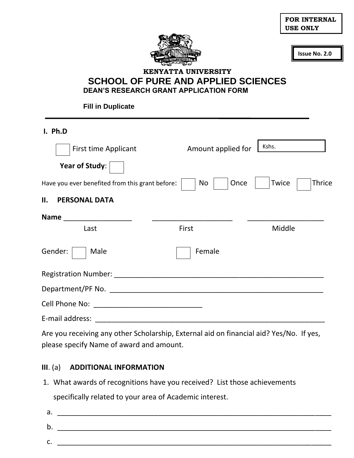| <b>FOR INTERNAL</b> |
|---------------------|
| USE ONLY            |



**Issue No. 2.0**

## **KENYATTA UNIVERSITY SCHOOL OF PURE AND APPLIED SCIENCES DEAN'S RESEARCH GRANT APPLICATION FORM**

**Fill in Duplicate**

**I. Ph.D** First time Applicant Amount applied for **Year of Study**: Have you ever benefited from this grant before:  $\vert \cdot \vert$  No  $\vert$   $\vert$  Once  $\vert$  Twice  $\vert$  Thrice **II. PERSONAL DATA Name** \_\_\_\_\_\_\_\_\_\_\_\_\_\_\_\_\_ \_\_\_\_\_\_\_\_\_\_\_\_\_\_\_\_\_\_\_\_ \_\_\_\_\_\_\_\_\_\_\_\_\_\_\_\_\_\_\_ Last **Example 2018** First **First** Middle Gender: Male Female Registration Number: \_\_\_\_\_\_\_\_\_\_\_\_\_\_\_\_\_\_\_\_\_\_\_\_\_\_\_\_\_\_\_\_\_\_\_\_\_\_\_\_\_\_\_\_\_\_\_\_\_\_\_\_ Department/PF No. \_\_\_\_\_\_\_\_\_\_\_\_\_\_\_\_\_\_\_\_\_\_\_\_\_\_\_\_\_\_\_\_\_\_\_\_\_\_\_\_\_\_\_\_\_\_\_\_\_\_\_\_\_ Cell Phone No: \_\_\_\_\_\_\_\_\_\_\_\_\_\_\_\_\_\_\_\_\_\_\_\_\_\_\_ E-mail address: \_\_\_\_\_\_\_\_\_\_\_\_\_\_\_\_\_\_\_\_\_\_\_\_\_\_\_\_\_\_\_\_\_\_\_\_\_\_\_\_\_\_\_\_\_\_\_\_\_\_\_\_\_\_\_\_\_ Are you receiving any other Scholarship, External aid on financial aid? Yes/No. If yes, Kshs.

please specify Name of award and amount.

## **III**. (a) **ADDITIONAL INFORMATION**

1. What awards of recognitions have you received? List those achievements specifically related to your area of Academic interest.

 $a.$ b. \_\_\_\_\_\_\_\_\_\_\_\_\_\_\_\_\_\_\_\_\_\_\_\_\_\_\_\_\_\_\_\_\_\_\_\_\_\_\_\_\_\_\_\_\_\_\_\_\_\_\_\_\_\_\_\_\_\_\_\_\_\_\_\_\_\_\_\_ c. \_\_\_\_\_\_\_\_\_\_\_\_\_\_\_\_\_\_\_\_\_\_\_\_\_\_\_\_\_\_\_\_\_\_\_\_\_\_\_\_\_\_\_\_\_\_\_\_\_\_\_\_\_\_\_\_\_\_\_\_\_\_\_\_\_\_\_\_